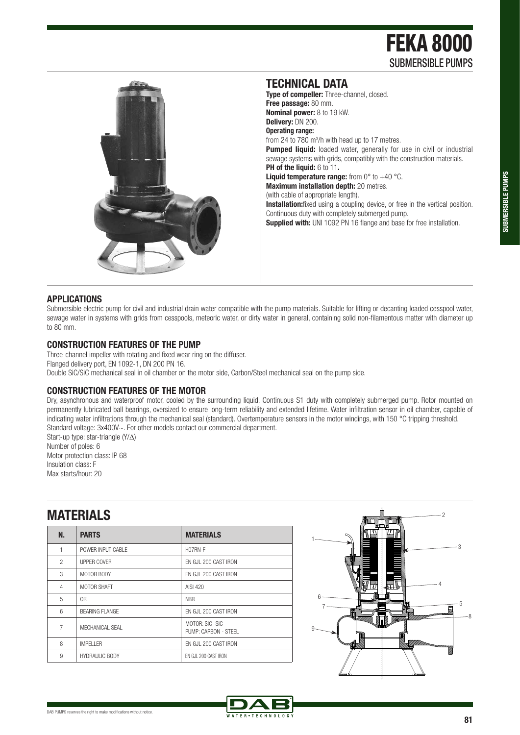# FEKA 8000 SUBMERSIBLE PUMPS



#### **APPLICATIONS**

Submersible electric pump for civil and industrial drain water compatible with the pump materials. Suitable for lifting or decanting loaded cesspool water, sewage water in systems with grids from cesspools, meteoric water, or dirty water in general, containing solid non-filamentous matter with diameter up to 80 mm.

#### **CONSTRUCTION FEATURES OF THE PUMP**

Three-channel impeller with rotating and fixed wear ring on the diffuser. Flanged delivery port, EN 1092-1, DN 200 PN 16. Double SiC/SiC mechanical seal in oil chamber on the motor side, Carbon/Steel mechanical seal on the pump side.

### **CONSTRUCTION FEATURES OF THE MOTOR**

Dry, asynchronous and waterproof motor, cooled by the surrounding liquid. Continuous S1 duty with completely submerged pump. Rotor mounted on permanently lubricated ball bearings, oversized to ensure long-term reliability and extended lifetime. Water infiltration sensor in oil chamber, capable of indicating water infiltrations through the mechanical seal (standard). Overtemperature sensors in the motor windings, with 150 °C tripping threshold. Standard voltage: 3x400V~. For other models contact our commercial department. Start-up type: star-triangle (Y/∆)

Number of poles: 6 Motor protection class: IP 68 Insulation class: F Max starts/hour: 20

**MATEDIAL C** 



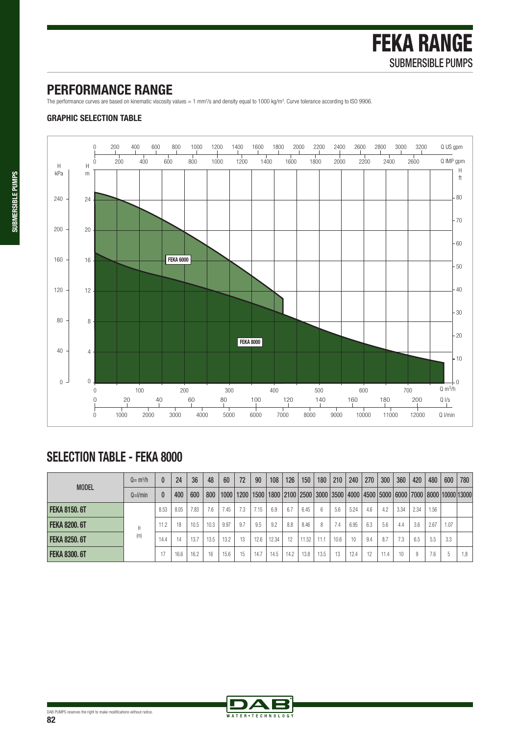### **PERFORMANCE RANGE**

The performance curves are based on kinematic viscosity values = 1 mm<sup>2</sup>/s and density equal to 1000 kg/m<sup>3</sup>. Curve tolerance according to ISO 9906.

### **GRAPHIC SELECTION TABLE**



## **SELECTION TABLE - FEKA 8000**

| <b>MODEL</b>        | $Q = m^3/h$ | $\bf{0}$     | 24   | 36   | 48   | 60   | 72  | 90   | 108   | 126  | 150   | 180  | 210  | 240  | 270 | 300  | 360             | 420  | 480  | 600  | 780                                                                                                             |
|---------------------|-------------|--------------|------|------|------|------|-----|------|-------|------|-------|------|------|------|-----|------|-----------------|------|------|------|-----------------------------------------------------------------------------------------------------------------|
|                     | $Q=1/min$   | $\mathbf{0}$ | 400  | 600  | 800  |      |     |      |       |      |       |      |      |      |     |      |                 |      |      |      | 1000   1200   1500   1800   2100   2500   3000   3500   4000   4500   5000   6000   7000   8000   10000   13000 |
| <b>FEKA 8150.6T</b> |             | 8.53         | 8.05 | 7.83 | 7.6  | 7.45 | 7.3 | 7.15 | 6.9   | 6.7  | 6.45  | 6    | 5.6  | 5.24 | 4.6 | 4.2  | 3.34            | 2.34 | 1.56 |      |                                                                                                                 |
| <b>FEKA 8200.6T</b> | Η           | 11.2         | 18   | 10.5 | 10.3 | 9.97 | 9.7 | 9.5  | 9.2   | 8.8  | 8.46  | 8    | 7.4  | 6.95 | 6.3 | 5.6  | 4.4             | 3.6  | 2.67 | 1.07 |                                                                                                                 |
| <b>FEKA 8250.6T</b> | (m)         | 14.4         | 14   | 13.7 | 13.5 | 13.2 | 13  | 12.6 | 12.34 | 12   | 11.52 | 11.1 | 10.6 | 10   | 9.4 | 8.7  | 7.3             | 6.5  | 5.5  | 3.3  |                                                                                                                 |
| <b>FEKA 8300.6T</b> |             | 17           | 16.6 | 16.2 | 16   | 15.6 | 15  | 14.7 | 14.5  | 14.2 | 13.8  | 13.5 | 13   | 12.4 | 12  | 11.4 | 10 <sup>1</sup> | 9    | 7.6  | 5    | 1.8                                                                                                             |